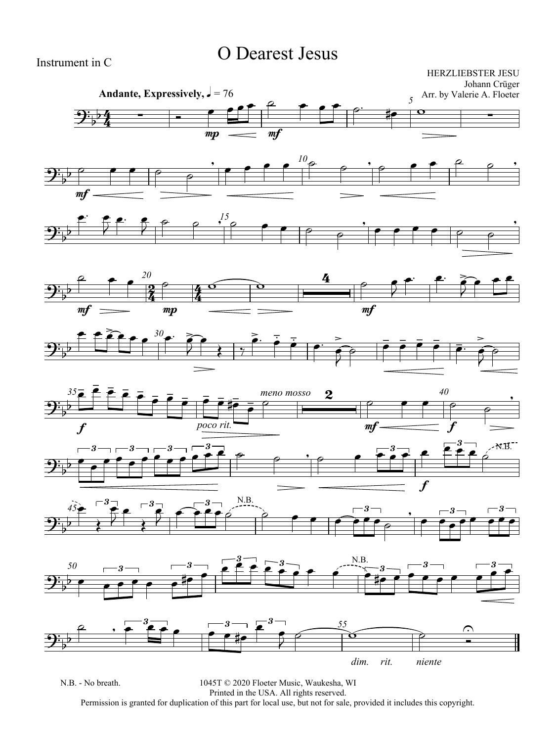### O Dearest Jesus

Instrument in C

HERZLIEBSTER JESU Johann Crüger

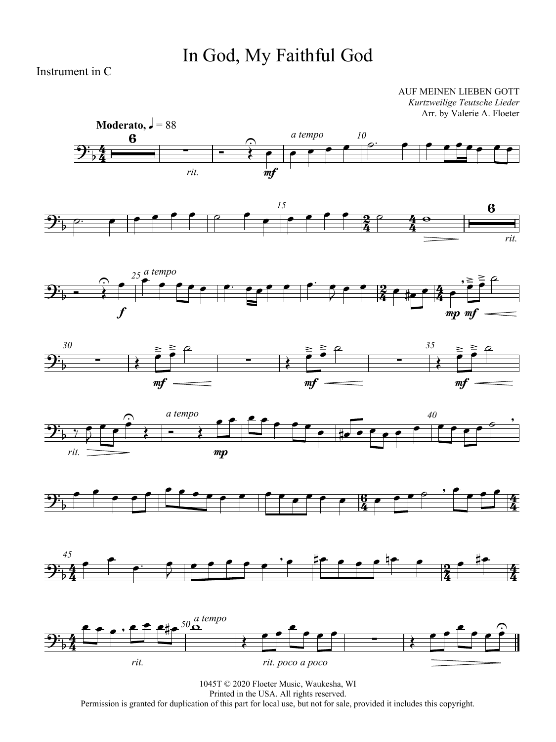## In God, My Faithful God

Instrument in C

AUF MEINEN LIEBEN GOTT *Kurtzweilige Teutsche Lieder* Arr. by Valerie A. Floeter















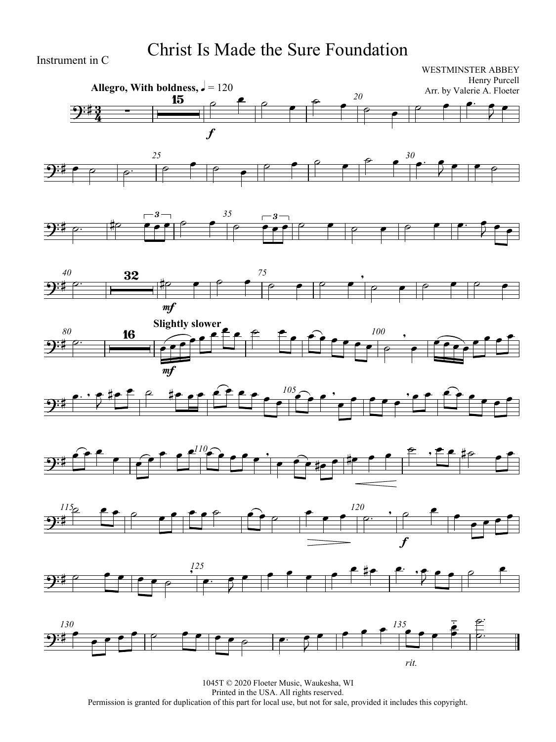## Christ Is Made the Sure Foundation

Instrument in C



















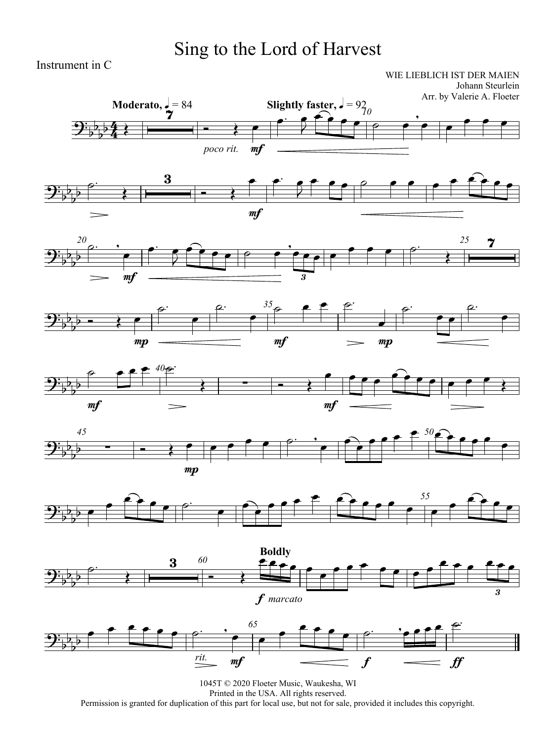# Sing to the Lord of Harvest

Instrument in C

WIE LIEBLICH IST DER MAIEN Johann Steurlein

















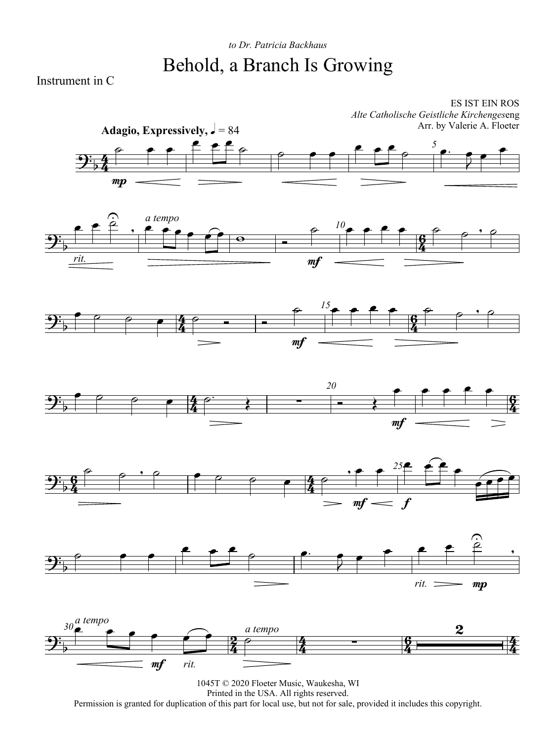### *to Dr. Patricia Backhaus* Behold, a Branch Is Growing

ES IST EIN ROS

Instrument in C

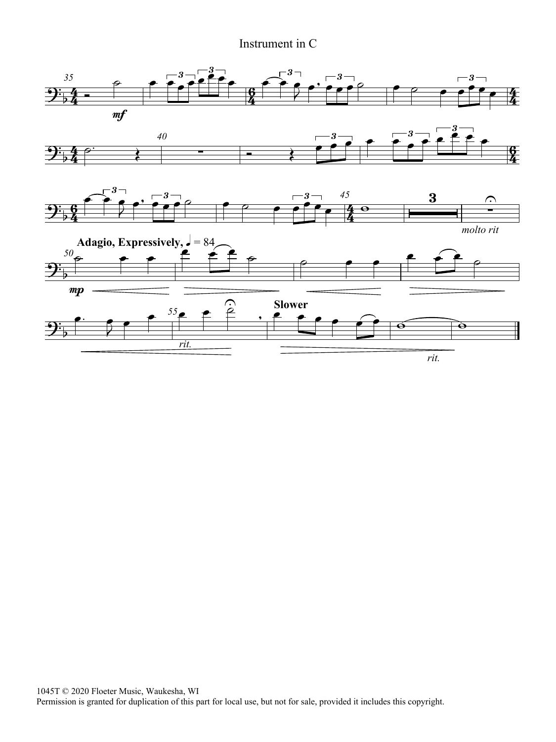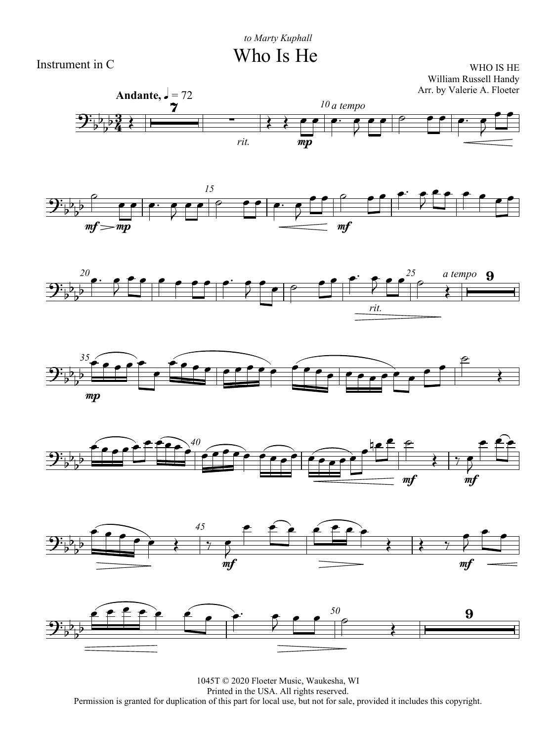WHO IS HE William Russell Handy Arr. by Valerie A. Floeter













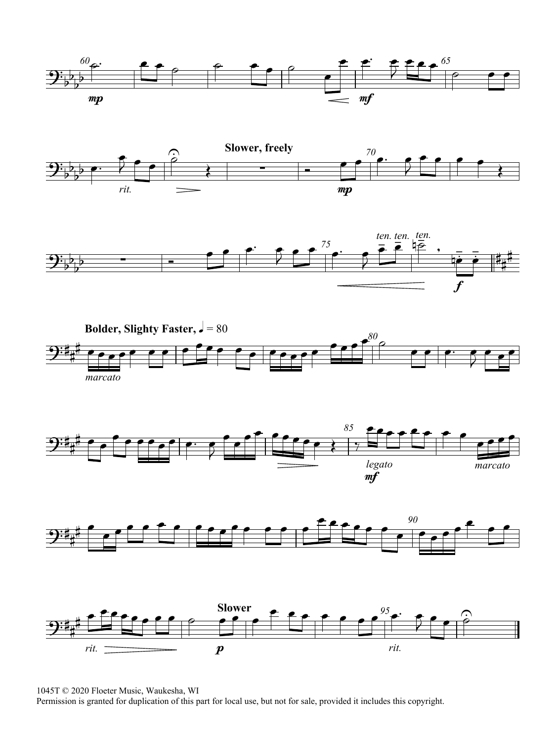













1045T © 2020 Floeter Music, Waukesha, WI

Permission is granted for duplication of this part for local use, but not for sale, provided it includes this copyright.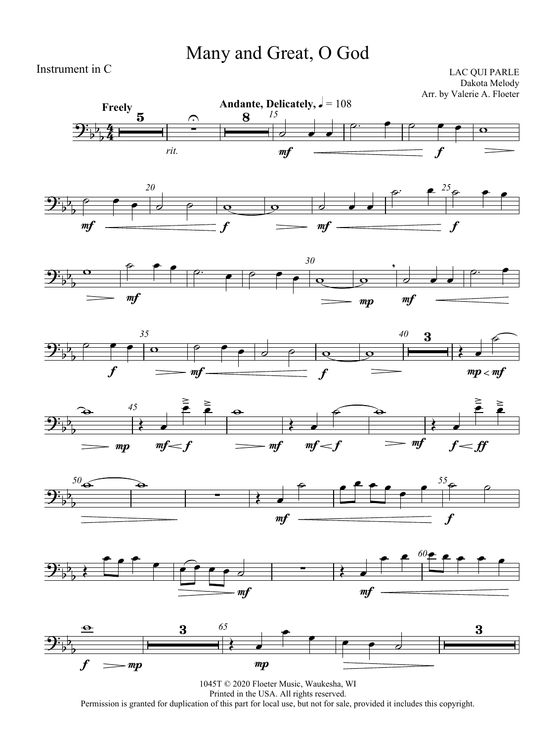### Many and Great, O God

Instrument in C

LAC QUI PARLE Dakota Melody Arr. by Valerie A. Floeter















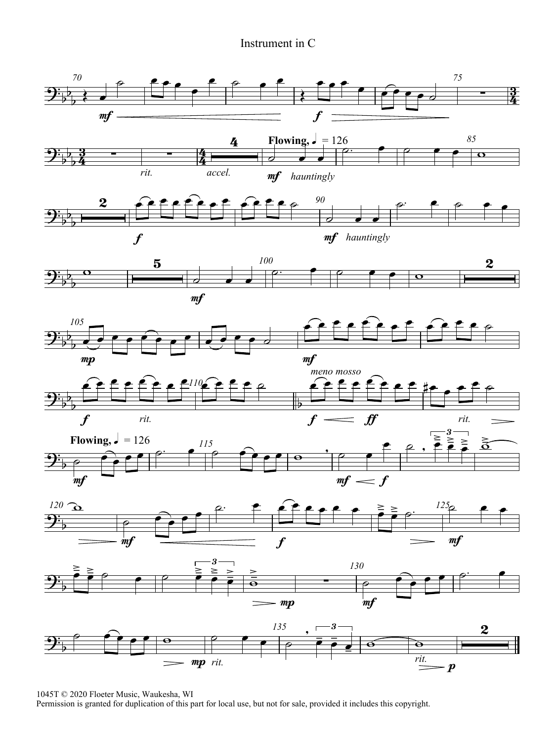

1045T © 2020 Floeter Music, Waukesha, WI

Permission is granted for duplication of this part for local use, but not for sale, provided it includes this copyright.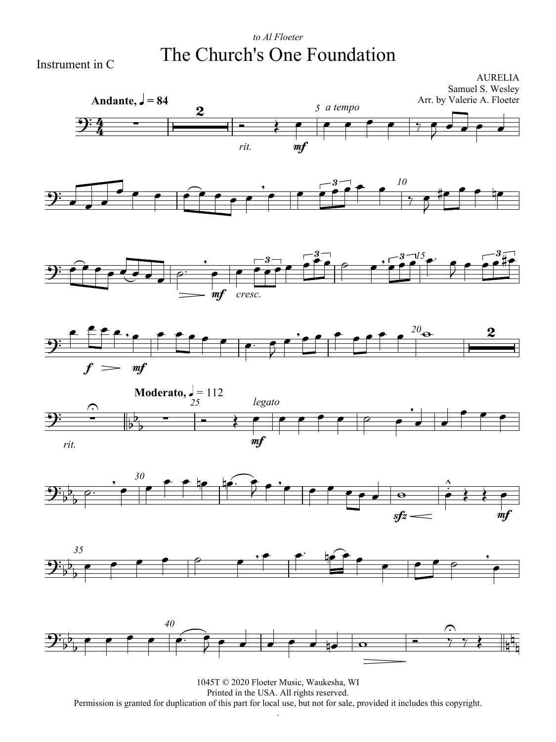#### *to Al Floeter* The Church's One Foundation

Instrument in C

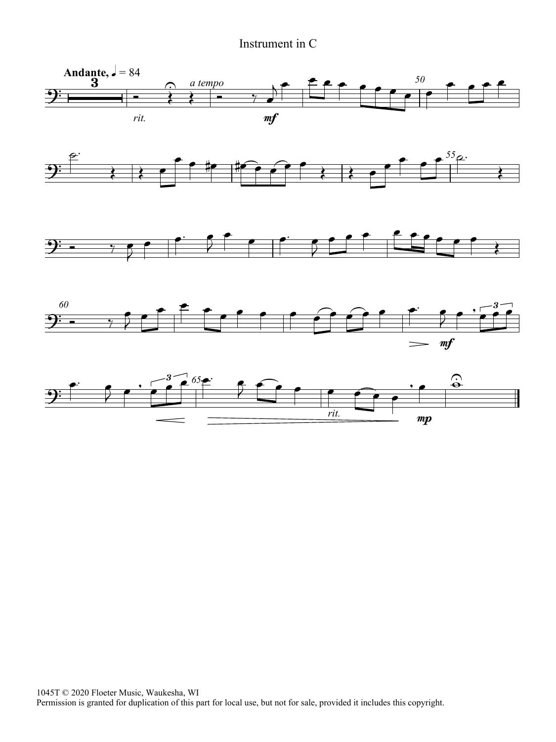